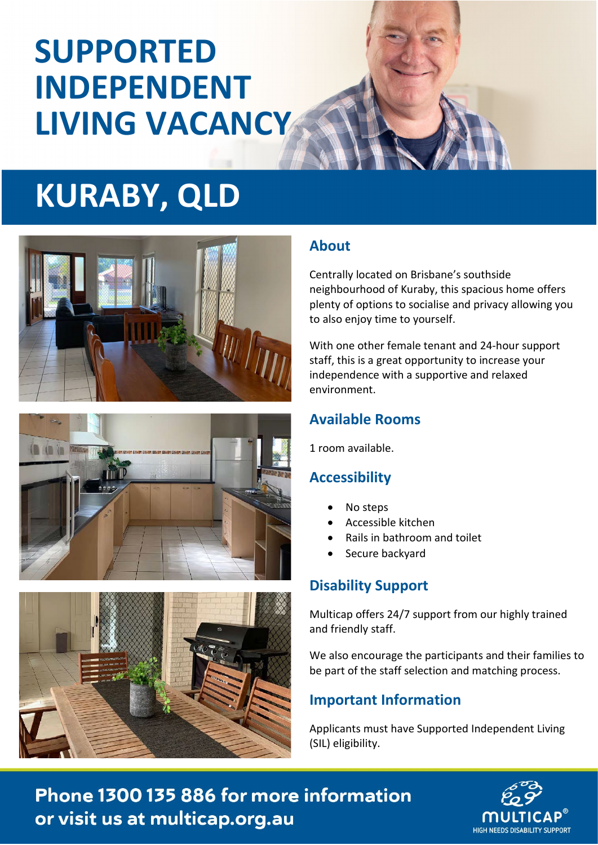# **SUPPORTED INDEPENDENT LIVING VACANCY**

# **KURABY, QLD**







### **About**

Centrally located on Brisbane's southside neighbourhood of Kuraby, this spacious home offers plenty of options to socialise and privacy allowing you to also enjoy time to yourself.

With one other female tenant and 24-hour support staff, this is a great opportunity to increase your independence with a supportive and relaxed environment.

### **Available Rooms**

1 room available.

### **Accessibility**

- No steps
- Accessible kitchen
- Rails in bathroom and toilet
- Secure backyard

# **Disability Support**

Multicap offers 24/7 support from our highly trained and friendly staff.

We also encourage the participants and their families to be part of the staff selection and matching process.

### **Important Information**

Applicants must have Supported Independent Living (SIL) eligibility.

Phone 1300 135 886 for more information or visit us at multicap.org.au